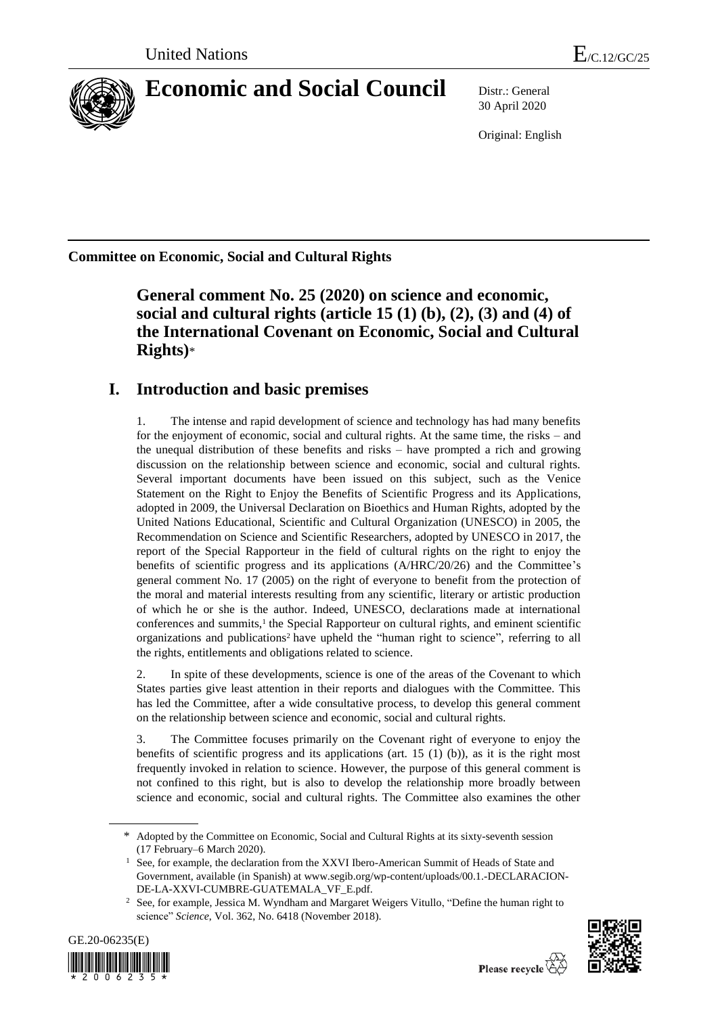

# **Economic and Social Council** Distr.: General

30 April 2020

Original: English

**Committee on Economic, Social and Cultural Rights**

**General comment No. 25 (2020) on science and economic, social and cultural rights (article 15 (1) (b), (2), (3) and (4) of the International Covenant on Economic, Social and Cultural Rights)**\*

# **I. Introduction and basic premises**

1. The intense and rapid development of science and technology has had many benefits for the enjoyment of economic, social and cultural rights. At the same time, the risks – and the unequal distribution of these benefits and risks – have prompted a rich and growing discussion on the relationship between science and economic, social and cultural rights. Several important documents have been issued on this subject, such as the Venice Statement on the Right to Enjoy the Benefits of Scientific Progress and its Applications, adopted in 2009, the Universal Declaration on Bioethics and Human Rights, adopted by the United Nations Educational, Scientific and Cultural Organization (UNESCO) in 2005, the Recommendation on Science and Scientific Researchers, adopted by UNESCO in 2017, the report of the Special Rapporteur in the field of cultural rights on the right to enjoy the benefits of scientific progress and its applications (A/HRC/20/26) and the Committee's general comment No. 17 (2005) on the right of everyone to benefit from the protection of the moral and material interests resulting from any scientific, literary or artistic production of which he or she is the author. Indeed, UNESCO, declarations made at international conferences and summits,<sup>1</sup> the Special Rapporteur on cultural rights, and eminent scientific organizations and publications<sup>2</sup> have upheld the "human right to science", referring to all the rights, entitlements and obligations related to science.

2. In spite of these developments, science is one of the areas of the Covenant to which States parties give least attention in their reports and dialogues with the Committee. This has led the Committee, after a wide consultative process, to develop this general comment on the relationship between science and economic, social and cultural rights.

3. The Committee focuses primarily on the Covenant right of everyone to enjoy the benefits of scientific progress and its applications (art.  $15 \t(1)$  (b)), as it is the right most frequently invoked in relation to science. However, the purpose of this general comment is not confined to this right, but is also to develop the relationship more broadly between science and economic, social and cultural rights. The Committee also examines the other

<sup>&</sup>lt;sup>2</sup> See, for example, Jessica M. Wyndham and Margaret Weigers Vitullo, "Define the human right to science" *Science*, Vol. 362, No. 6418 (November 2018).





<sup>\*</sup> Adopted by the Committee on Economic, Social and Cultural Rights at its sixty-seventh session (17 February–6 March 2020).

<sup>&</sup>lt;sup>1</sup> See, for example, the declaration from the XXVI Ibero-American Summit of Heads of State and Government, available (in Spanish) at www.segib.org/wp-content/uploads/00.1.-DECLARACION-DE-LA-XXVI-CUMBRE-GUATEMALA\_VF\_E.pdf.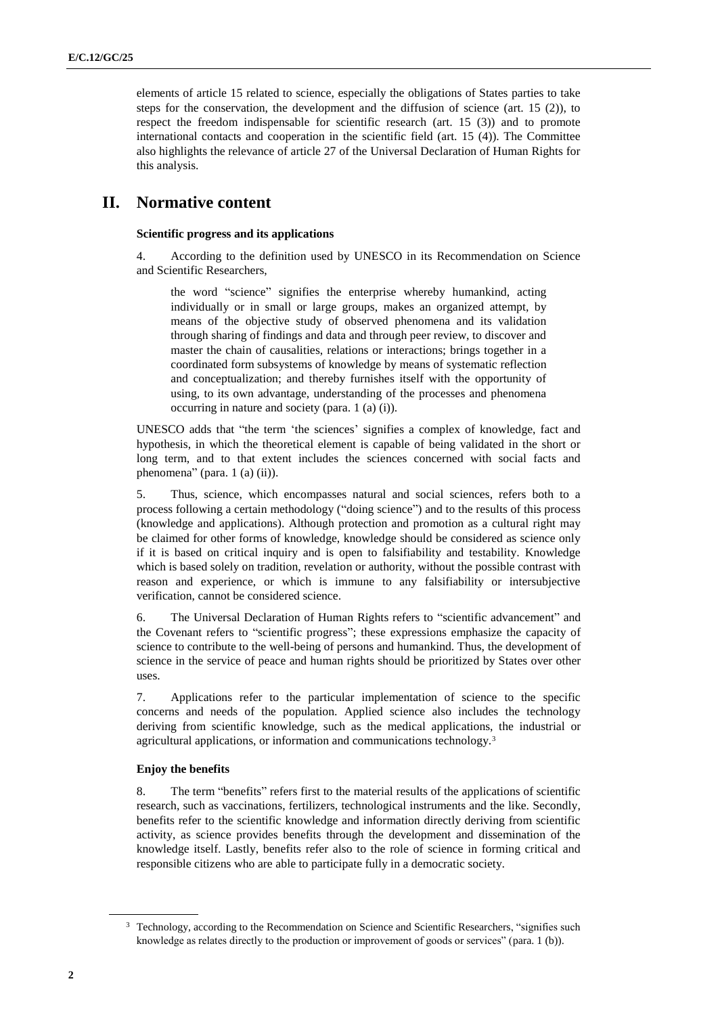elements of article 15 related to science, especially the obligations of States parties to take steps for the conservation, the development and the diffusion of science (art. 15 (2)), to respect the freedom indispensable for scientific research (art. 15 (3)) and to promote international contacts and cooperation in the scientific field (art. 15 (4)). The Committee also highlights the relevance of article 27 of the Universal Declaration of Human Rights for this analysis.

# **II. Normative content**

#### **Scientific progress and its applications**

4. According to the definition used by UNESCO in its Recommendation on Science and Scientific Researchers,

the word "science" signifies the enterprise whereby humankind, acting individually or in small or large groups, makes an organized attempt, by means of the objective study of observed phenomena and its validation through sharing of findings and data and through peer review, to discover and master the chain of causalities, relations or interactions; brings together in a coordinated form subsystems of knowledge by means of systematic reflection and conceptualization; and thereby furnishes itself with the opportunity of using, to its own advantage, understanding of the processes and phenomena occurring in nature and society (para. 1 (a) (i)).

UNESCO adds that "the term 'the sciences' signifies a complex of knowledge, fact and hypothesis, in which the theoretical element is capable of being validated in the short or long term, and to that extent includes the sciences concerned with social facts and phenomena" (para. 1 (a) (ii)).

5. Thus, science, which encompasses natural and social sciences, refers both to a process following a certain methodology ("doing science") and to the results of this process (knowledge and applications). Although protection and promotion as a cultural right may be claimed for other forms of knowledge, knowledge should be considered as science only if it is based on critical inquiry and is open to falsifiability and testability. Knowledge which is based solely on tradition, revelation or authority, without the possible contrast with reason and experience, or which is immune to any falsifiability or intersubjective verification, cannot be considered science.

6. The Universal Declaration of Human Rights refers to "scientific advancement" and the Covenant refers to "scientific progress"; these expressions emphasize the capacity of science to contribute to the well-being of persons and humankind. Thus, the development of science in the service of peace and human rights should be prioritized by States over other uses.

7. Applications refer to the particular implementation of science to the specific concerns and needs of the population. Applied science also includes the technology deriving from scientific knowledge, such as the medical applications, the industrial or agricultural applications, or information and communications technology.<sup>3</sup>

#### **Enjoy the benefits**

8. The term "benefits" refers first to the material results of the applications of scientific research, such as vaccinations, fertilizers, technological instruments and the like. Secondly, benefits refer to the scientific knowledge and information directly deriving from scientific activity, as science provides benefits through the development and dissemination of the knowledge itself. Lastly, benefits refer also to the role of science in forming critical and responsible citizens who are able to participate fully in a democratic society.

<sup>&</sup>lt;sup>3</sup> Technology, according to the Recommendation on Science and Scientific Researchers, "signifies such knowledge as relates directly to the production or improvement of goods or services" (para. 1 (b)).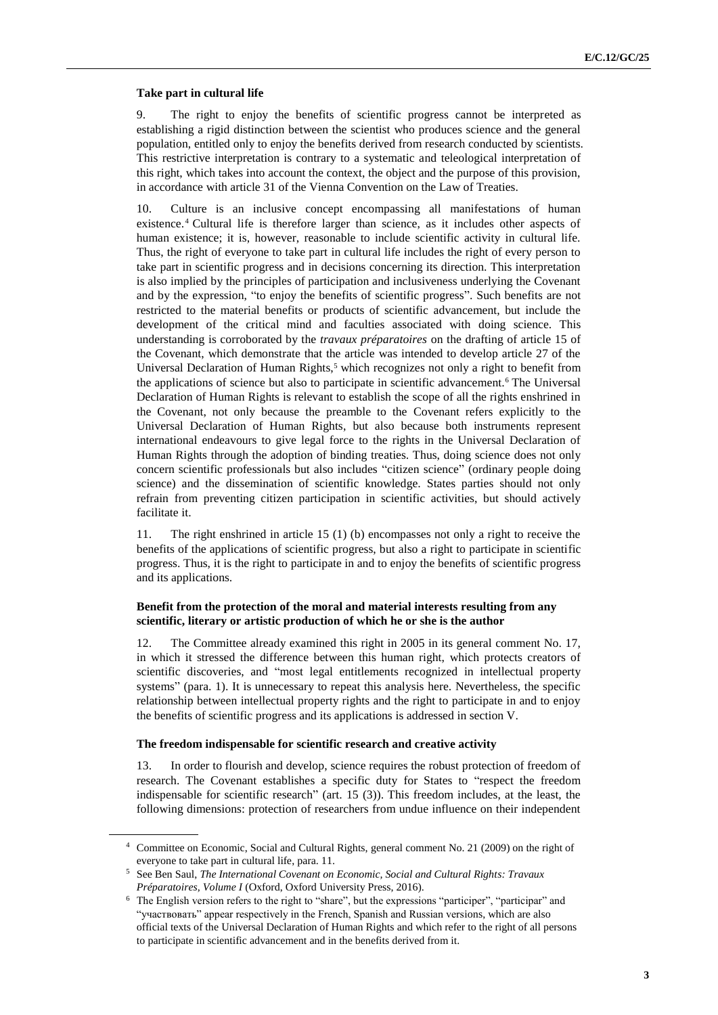#### **Take part in cultural life**

9. The right to enjoy the benefits of scientific progress cannot be interpreted as establishing a rigid distinction between the scientist who produces science and the general population, entitled only to enjoy the benefits derived from research conducted by scientists. This restrictive interpretation is contrary to a systematic and teleological interpretation of this right, which takes into account the context, the object and the purpose of this provision, in accordance with article 31 of the Vienna Convention on the Law of Treaties.

10. Culture is an inclusive concept encompassing all manifestations of human existence. <sup>4</sup> Cultural life is therefore larger than science, as it includes other aspects of human existence; it is, however, reasonable to include scientific activity in cultural life. Thus, the right of everyone to take part in cultural life includes the right of every person to take part in scientific progress and in decisions concerning its direction. This interpretation is also implied by the principles of participation and inclusiveness underlying the Covenant and by the expression, "to enjoy the benefits of scientific progress". Such benefits are not restricted to the material benefits or products of scientific advancement, but include the development of the critical mind and faculties associated with doing science. This understanding is corroborated by the *travaux préparatoires* on the drafting of article 15 of the Covenant, which demonstrate that the article was intended to develop article 27 of the Universal Declaration of Human Rights,<sup>5</sup> which recognizes not only a right to benefit from the applications of science but also to participate in scientific advancement.<sup>6</sup> The Universal Declaration of Human Rights is relevant to establish the scope of all the rights enshrined in the Covenant, not only because the preamble to the Covenant refers explicitly to the Universal Declaration of Human Rights, but also because both instruments represent international endeavours to give legal force to the rights in the Universal Declaration of Human Rights through the adoption of binding treaties. Thus, doing science does not only concern scientific professionals but also includes "citizen science" (ordinary people doing science) and the dissemination of scientific knowledge. States parties should not only refrain from preventing citizen participation in scientific activities, but should actively facilitate it.

11. The right enshrined in article 15 (1) (b) encompasses not only a right to receive the benefits of the applications of scientific progress, but also a right to participate in scientific progress. Thus, it is the right to participate in and to enjoy the benefits of scientific progress and its applications.

#### **Benefit from the protection of the moral and material interests resulting from any scientific, literary or artistic production of which he or she is the author**

12. The Committee already examined this right in 2005 in its general comment No. 17, in which it stressed the difference between this human right, which protects creators of scientific discoveries, and "most legal entitlements recognized in intellectual property systems" (para. 1). It is unnecessary to repeat this analysis here. Nevertheless, the specific relationship between intellectual property rights and the right to participate in and to enjoy the benefits of scientific progress and its applications is addressed in section V.

#### **The freedom indispensable for scientific research and creative activity**

13. In order to flourish and develop, science requires the robust protection of freedom of research. The Covenant establishes a specific duty for States to "respect the freedom indispensable for scientific research" (art. 15 (3)). This freedom includes, at the least, the following dimensions: protection of researchers from undue influence on their independent

<sup>4</sup> Committee on Economic, Social and Cultural Rights, general comment No. 21 (2009) on the right of everyone to take part in cultural life, para. 11.

<sup>5</sup> See Ben Saul, *[The International Covenant on Economic, Social and Cultural Rights: Travaux](https://opil.ouplaw.com/view/10.1093/law/9780198758303.001.0001/law-9780198758303)  [Préparatoires, Volume I](https://opil.ouplaw.com/view/10.1093/law/9780198758303.001.0001/law-9780198758303)* (Oxford, Oxford University Press, 2016).

<sup>6</sup> The English version refers to the right to "share", but the expressions "participer", "participar" and "участвовать" appear respectively in the French, Spanish and Russian versions, which are also official texts of the Universal Declaration of Human Rights and which refer to the right of all persons to participate in scientific advancement and in the benefits derived from it.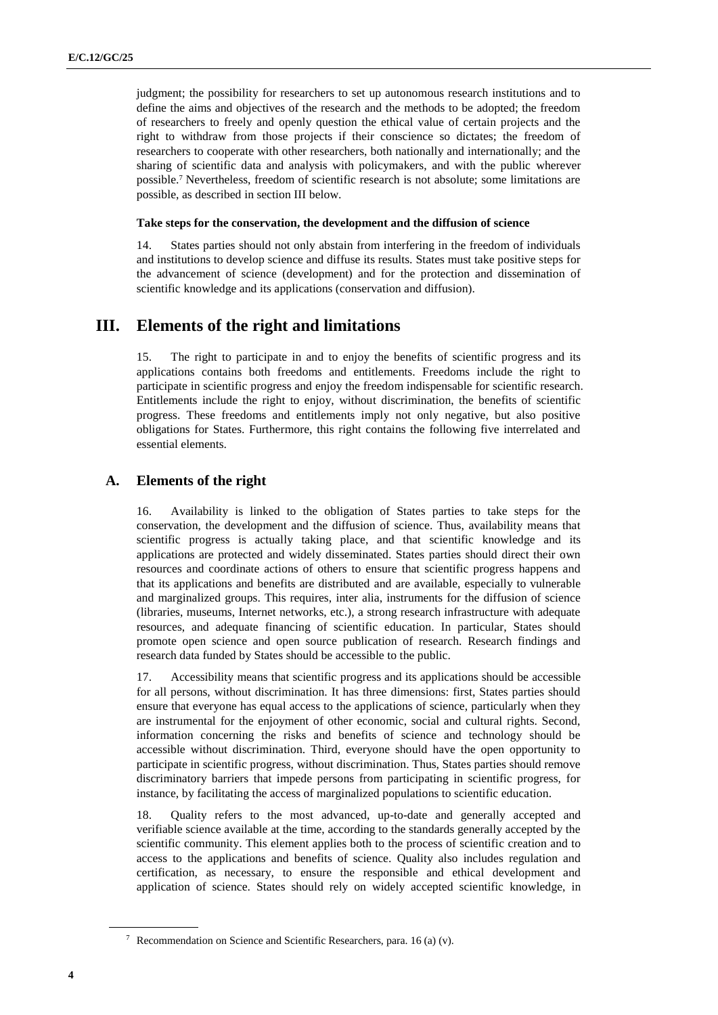judgment; the possibility for researchers to set up autonomous research institutions and to define the aims and objectives of the research and the methods to be adopted; the freedom of researchers to freely and openly question the ethical value of certain projects and the right to withdraw from those projects if their conscience so dictates; the freedom of researchers to cooperate with other researchers, both nationally and internationally; and the sharing of scientific data and analysis with policymakers, and with the public wherever possible.<sup>7</sup> Nevertheless, freedom of scientific research is not absolute; some limitations are possible, as described in section III below.

#### **Take steps for the conservation, the development and the diffusion of science**

14. States parties should not only abstain from interfering in the freedom of individuals and institutions to develop science and diffuse its results. States must take positive steps for the advancement of science (development) and for the protection and dissemination of scientific knowledge and its applications (conservation and diffusion).

# **III. Elements of the right and limitations**

15. The right to participate in and to enjoy the benefits of scientific progress and its applications contains both freedoms and entitlements. Freedoms include the right to participate in scientific progress and enjoy the freedom indispensable for scientific research. Entitlements include the right to enjoy, without discrimination, the benefits of scientific progress. These freedoms and entitlements imply not only negative, but also positive obligations for States. Furthermore, this right contains the following five interrelated and essential elements.

### **A. Elements of the right**

16. Availability is linked to the obligation of States parties to take steps for the conservation, the development and the diffusion of science. Thus, availability means that scientific progress is actually taking place, and that scientific knowledge and its applications are protected and widely disseminated. States parties should direct their own resources and coordinate actions of others to ensure that scientific progress happens and that its applications and benefits are distributed and are available, especially to vulnerable and marginalized groups. This requires, inter alia, instruments for the diffusion of science (libraries, museums, Internet networks, etc.), a strong research infrastructure with adequate resources, and adequate financing of scientific education. In particular, States should promote open science and open source publication of research. Research findings and research data funded by States should be accessible to the public.

17. Accessibility means that scientific progress and its applications should be accessible for all persons, without discrimination. It has three dimensions: first, States parties should ensure that everyone has equal access to the applications of science, particularly when they are instrumental for the enjoyment of other economic, social and cultural rights. Second, information concerning the risks and benefits of science and technology should be accessible without discrimination. Third, everyone should have the open opportunity to participate in scientific progress, without discrimination. Thus, States parties should remove discriminatory barriers that impede persons from participating in scientific progress, for instance, by facilitating the access of marginalized populations to scientific education.

18. Quality refers to the most advanced, up-to-date and generally accepted and verifiable science available at the time, according to the standards generally accepted by the scientific community. This element applies both to the process of scientific creation and to access to the applications and benefits of science. Quality also includes regulation and certification, as necessary, to ensure the responsible and ethical development and application of science. States should rely on widely accepted scientific knowledge, in

<sup>&</sup>lt;sup>7</sup> Recommendation on Science and Scientific Researchers, para. 16 (a) (v).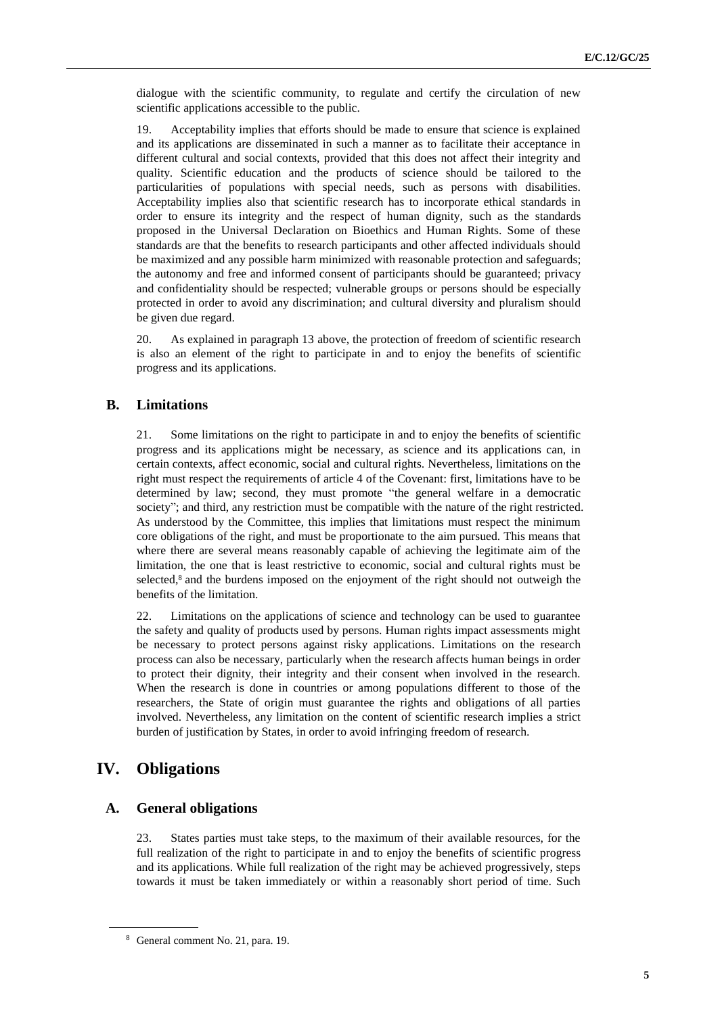dialogue with the scientific community, to regulate and certify the circulation of new scientific applications accessible to the public.

19. Acceptability implies that efforts should be made to ensure that science is explained and its applications are disseminated in such a manner as to facilitate their acceptance in different cultural and social contexts, provided that this does not affect their integrity and quality. Scientific education and the products of science should be tailored to the particularities of populations with special needs, such as persons with disabilities. Acceptability implies also that scientific research has to incorporate ethical standards in order to ensure its integrity and the respect of human dignity, such as the standards proposed in the Universal Declaration on Bioethics and Human Rights. Some of these standards are that the benefits to research participants and other affected individuals should be maximized and any possible harm minimized with reasonable protection and safeguards; the autonomy and free and informed consent of participants should be guaranteed; privacy and confidentiality should be respected; vulnerable groups or persons should be especially protected in order to avoid any discrimination; and cultural diversity and pluralism should be given due regard.

20. As explained in paragraph 13 above, the protection of freedom of scientific research is also an element of the right to participate in and to enjoy the benefits of scientific progress and its applications.

# **B. Limitations**

21. Some limitations on the right to participate in and to enjoy the benefits of scientific progress and its applications might be necessary, as science and its applications can, in certain contexts, affect economic, social and cultural rights. Nevertheless, limitations on the right must respect the requirements of article 4 of the Covenant: first, limitations have to be determined by law; second, they must promote "the general welfare in a democratic society"; and third, any restriction must be compatible with the nature of the right restricted. As understood by the Committee, this implies that limitations must respect the minimum core obligations of the right, and must be proportionate to the aim pursued. This means that where there are several means reasonably capable of achieving the legitimate aim of the limitation, the one that is least restrictive to economic, social and cultural rights must be selected, $8$  and the burdens imposed on the enjoyment of the right should not outweigh the benefits of the limitation.

22. Limitations on the applications of science and technology can be used to guarantee the safety and quality of products used by persons. Human rights impact assessments might be necessary to protect persons against risky applications. Limitations on the research process can also be necessary, particularly when the research affects human beings in order to protect their dignity, their integrity and their consent when involved in the research. When the research is done in countries or among populations different to those of the researchers, the State of origin must guarantee the rights and obligations of all parties involved. Nevertheless, any limitation on the content of scientific research implies a strict burden of justification by States, in order to avoid infringing freedom of research.

# **IV. Obligations**

### **A. General obligations**

23. States parties must take steps, to the maximum of their available resources, for the full realization of the right to participate in and to enjoy the benefits of scientific progress and its applications. While full realization of the right may be achieved progressively, steps towards it must be taken immediately or within a reasonably short period of time. Such

<sup>8</sup> General comment No. 21, para. 19.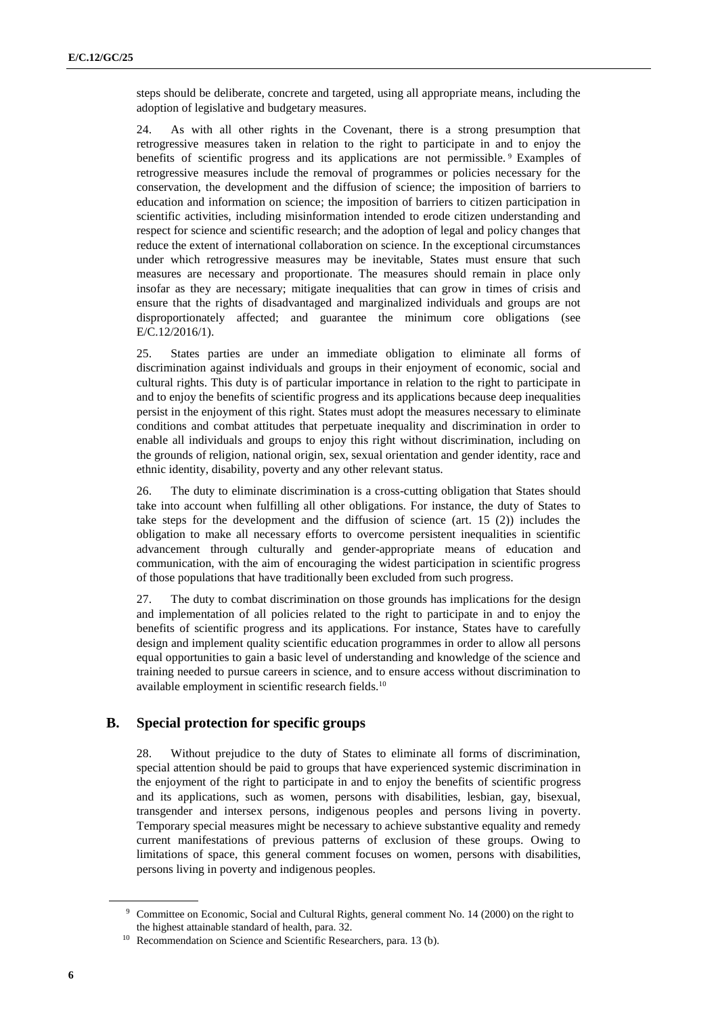steps should be deliberate, concrete and targeted, using all appropriate means, including the adoption of legislative and budgetary measures.

24. As with all other rights in the Covenant, there is a strong presumption that retrogressive measures taken in relation to the right to participate in and to enjoy the benefits of scientific progress and its applications are not permissible. <sup>9</sup> Examples of retrogressive measures include the removal of programmes or policies necessary for the conservation, the development and the diffusion of science; the imposition of barriers to education and information on science; the imposition of barriers to citizen participation in scientific activities, including misinformation intended to erode citizen understanding and respect for science and scientific research; and the adoption of legal and policy changes that reduce the extent of international collaboration on science. In the exceptional circumstances under which retrogressive measures may be inevitable, States must ensure that such measures are necessary and proportionate. The measures should remain in place only insofar as they are necessary; mitigate inequalities that can grow in times of crisis and ensure that the rights of disadvantaged and marginalized individuals and groups are not disproportionately affected; and guarantee the minimum core obligations (see E/C.12/2016/1).

25. States parties are under an immediate obligation to eliminate all forms of discrimination against individuals and groups in their enjoyment of economic, social and cultural rights. This duty is of particular importance in relation to the right to participate in and to enjoy the benefits of scientific progress and its applications because deep inequalities persist in the enjoyment of this right. States must adopt the measures necessary to eliminate conditions and combat attitudes that perpetuate inequality and discrimination in order to enable all individuals and groups to enjoy this right without discrimination, including on the grounds of religion, national origin, sex, sexual orientation and gender identity, race and ethnic identity, disability, poverty and any other relevant status.

26. The duty to eliminate discrimination is a cross-cutting obligation that States should take into account when fulfilling all other obligations. For instance, the duty of States to take steps for the development and the diffusion of science (art. 15 (2)) includes the obligation to make all necessary efforts to overcome persistent inequalities in scientific advancement through culturally and gender-appropriate means of education and communication, with the aim of encouraging the widest participation in scientific progress of those populations that have traditionally been excluded from such progress.

27. The duty to combat discrimination on those grounds has implications for the design and implementation of all policies related to the right to participate in and to enjoy the benefits of scientific progress and its applications. For instance, States have to carefully design and implement quality scientific education programmes in order to allow all persons equal opportunities to gain a basic level of understanding and knowledge of the science and training needed to pursue careers in science, and to ensure access without discrimination to available employment in scientific research fields.<sup>10</sup>

# **B. Special protection for specific groups**

28. Without prejudice to the duty of States to eliminate all forms of discrimination, special attention should be paid to groups that have experienced systemic discrimination in the enjoyment of the right to participate in and to enjoy the benefits of scientific progress and its applications, such as women, persons with disabilities, lesbian, gay, bisexual, transgender and intersex persons, indigenous peoples and persons living in poverty. Temporary special measures might be necessary to achieve substantive equality and remedy current manifestations of previous patterns of exclusion of these groups. Owing to limitations of space, this general comment focuses on women, persons with disabilities, persons living in poverty and indigenous peoples.

<sup>9</sup> Committee on Economic, Social and Cultural Rights, general comment No. 14 (2000) on the right to the highest attainable standard of health, para. 32.

<sup>&</sup>lt;sup>10</sup> Recommendation on Science and Scientific Researchers, para. 13 (b).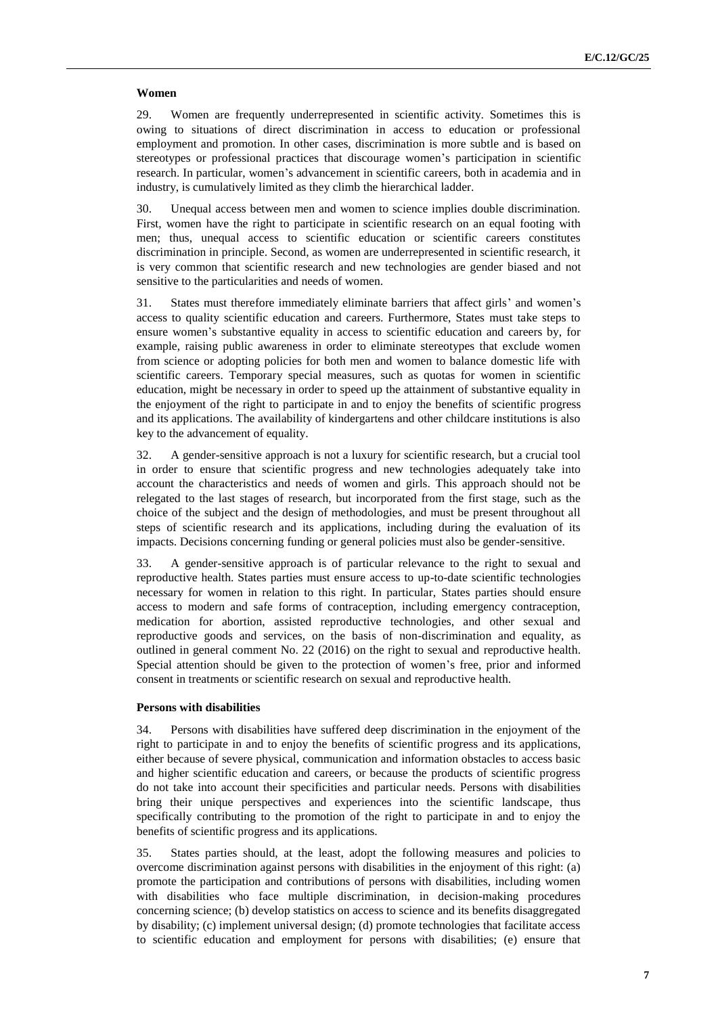#### **Women**

29. Women are frequently underrepresented in scientific activity. Sometimes this is owing to situations of direct discrimination in access to education or professional employment and promotion. In other cases, discrimination is more subtle and is based on stereotypes or professional practices that discourage women's participation in scientific research. In particular, women's advancement in scientific careers, both in academia and in industry, is cumulatively limited as they climb the hierarchical ladder.

30. Unequal access between men and women to science implies double discrimination. First, women have the right to participate in scientific research on an equal footing with men; thus, unequal access to scientific education or scientific careers constitutes discrimination in principle. Second, as women are underrepresented in scientific research, it is very common that scientific research and new technologies are gender biased and not sensitive to the particularities and needs of women.

31. States must therefore immediately eliminate barriers that affect girls' and women's access to quality scientific education and careers. Furthermore, States must take steps to ensure women's substantive equality in access to scientific education and careers by, for example, raising public awareness in order to eliminate stereotypes that exclude women from science or adopting policies for both men and women to balance domestic life with scientific careers. Temporary special measures, such as quotas for women in scientific education, might be necessary in order to speed up the attainment of substantive equality in the enjoyment of the right to participate in and to enjoy the benefits of scientific progress and its applications. The availability of kindergartens and other childcare institutions is also key to the advancement of equality.

32. A gender-sensitive approach is not a luxury for scientific research, but a crucial tool in order to ensure that scientific progress and new technologies adequately take into account the characteristics and needs of women and girls. This approach should not be relegated to the last stages of research, but incorporated from the first stage, such as the choice of the subject and the design of methodologies, and must be present throughout all steps of scientific research and its applications, including during the evaluation of its impacts. Decisions concerning funding or general policies must also be gender-sensitive.

33. A gender-sensitive approach is of particular relevance to the right to sexual and reproductive health. States parties must ensure access to up-to-date scientific technologies necessary for women in relation to this right. In particular, States parties should ensure access to modern and safe forms of contraception, including emergency contraception, medication for abortion, assisted reproductive technologies, and other sexual and reproductive goods and services, on the basis of non-discrimination and equality, as outlined in general comment No. 22 (2016) on the right to sexual and reproductive health. Special attention should be given to the protection of women's free, prior and informed consent in treatments or scientific research on sexual and reproductive health.

#### **Persons with disabilities**

34. Persons with disabilities have suffered deep discrimination in the enjoyment of the right to participate in and to enjoy the benefits of scientific progress and its applications, either because of severe physical, communication and information obstacles to access basic and higher scientific education and careers, or because the products of scientific progress do not take into account their specificities and particular needs. Persons with disabilities bring their unique perspectives and experiences into the scientific landscape, thus specifically contributing to the promotion of the right to participate in and to enjoy the benefits of scientific progress and its applications.

35. States parties should, at the least, adopt the following measures and policies to overcome discrimination against persons with disabilities in the enjoyment of this right: (a) promote the participation and contributions of persons with disabilities, including women with disabilities who face multiple discrimination, in decision-making procedures concerning science; (b) develop statistics on access to science and its benefits disaggregated by disability; (c) implement universal design; (d) promote technologies that facilitate access to scientific education and employment for persons with disabilities; (e) ensure that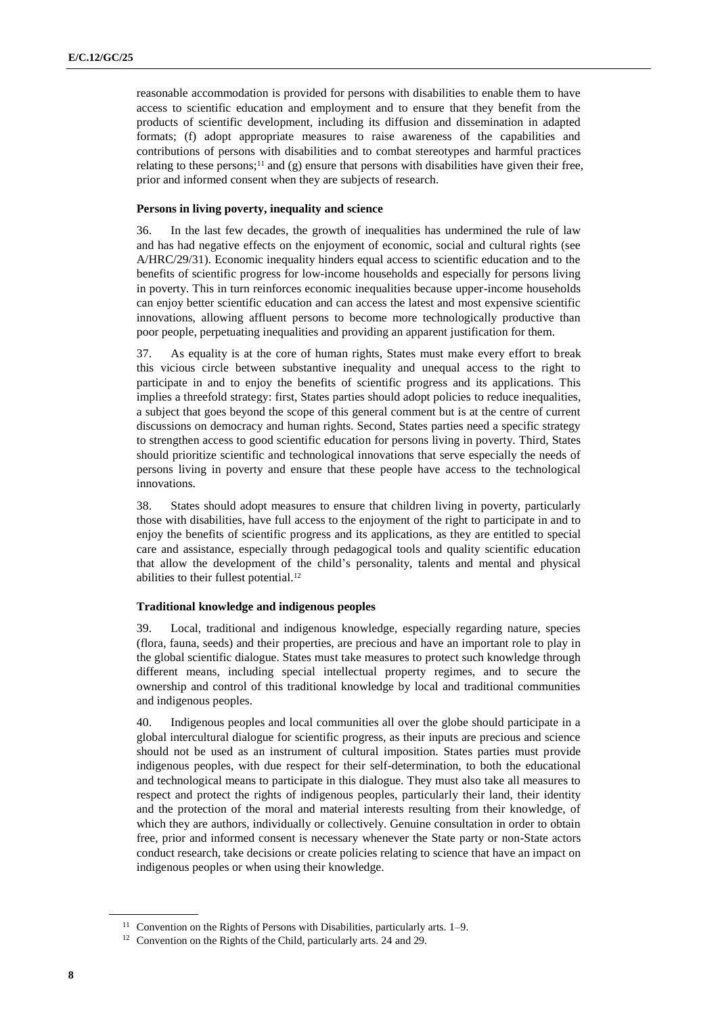reasonable accommodation is provided for persons with disabilities to enable them to have access to scientific education and employment and to ensure that they benefit from the products of scientific development, including its diffusion and dissemination in adapted formats; (f) adopt appropriate measures to raise awareness of the capabilities and contributions of persons with disabilities and to combat stereotypes and harmful practices relating to these persons;<sup>11</sup> and (g) ensure that persons with disabilities have given their free, prior and informed consent when they are subjects of research.

#### **Persons in living poverty, inequality and science**

36. In the last few decades, the growth of inequalities has undermined the rule of law and has had negative effects on the enjoyment of economic, social and cultural rights (see A/HRC/29/31). Economic inequality hinders equal access to scientific education and to the benefits of scientific progress for low-income households and especially for persons living in poverty. This in turn reinforces economic inequalities because upper-income households can enjoy better scientific education and can access the latest and most expensive scientific innovations, allowing affluent persons to become more technologically productive than poor people, perpetuating inequalities and providing an apparent justification for them.

37. As equality is at the core of human rights, States must make every effort to break this vicious circle between substantive inequality and unequal access to the right to participate in and to enjoy the benefits of scientific progress and its applications. This implies a threefold strategy: first, States parties should adopt policies to reduce inequalities, a subject that goes beyond the scope of this general comment but is at the centre of current discussions on democracy and human rights. Second, States parties need a specific strategy to strengthen access to good scientific education for persons living in poverty. Third, States should prioritize scientific and technological innovations that serve especially the needs of persons living in poverty and ensure that these people have access to the technological innovations.

38. States should adopt measures to ensure that children living in poverty, particularly those with disabilities, have full access to the enjoyment of the right to participate in and to enjoy the benefits of scientific progress and its applications, as they are entitled to special care and assistance, especially through pedagogical tools and quality scientific education that allow the development of the child's personality, talents and mental and physical abilities to their fullest potential.<sup>12</sup>

#### **Traditional knowledge and indigenous peoples**

39. Local, traditional and indigenous knowledge, especially regarding nature, species (flora, fauna, seeds) and their properties, are precious and have an important role to play in the global scientific dialogue. States must take measures to protect such knowledge through different means, including special intellectual property regimes, and to secure the ownership and control of this traditional knowledge by local and traditional communities and indigenous peoples.

40. Indigenous peoples and local communities all over the globe should participate in a global intercultural dialogue for scientific progress, as their inputs are precious and science should not be used as an instrument of cultural imposition. States parties must provide indigenous peoples, with due respect for their self-determination, to both the educational and technological means to participate in this dialogue. They must also take all measures to respect and protect the rights of indigenous peoples, particularly their land, their identity and the protection of the moral and material interests resulting from their knowledge, of which they are authors, individually or collectively. Genuine consultation in order to obtain free, prior and informed consent is necessary whenever the State party or non-State actors conduct research, take decisions or create policies relating to science that have an impact on indigenous peoples or when using their knowledge.

<sup>&</sup>lt;sup>11</sup> Convention on the Rights of Persons with Disabilities, particularly arts. 1–9.

<sup>&</sup>lt;sup>12</sup> Convention on the Rights of the Child, particularly arts. 24 and 29.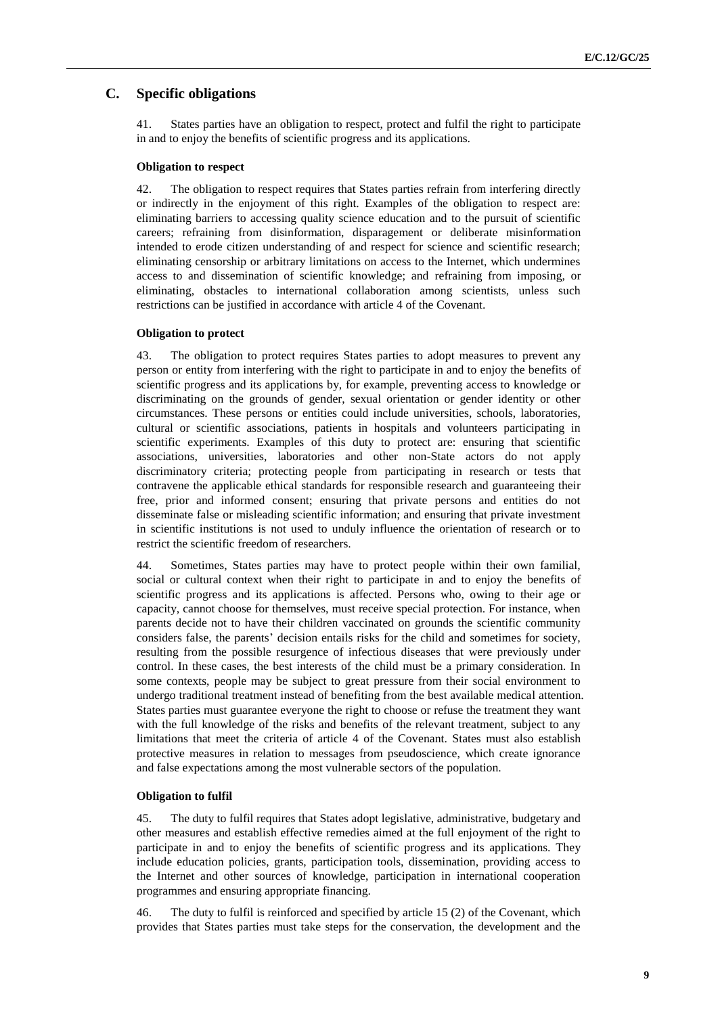# **C. Specific obligations**

41. States parties have an obligation to respect, protect and fulfil the right to participate in and to enjoy the benefits of scientific progress and its applications.

#### **Obligation to respect**

42. The obligation to respect requires that States parties refrain from interfering directly or indirectly in the enjoyment of this right. Examples of the obligation to respect are: eliminating barriers to accessing quality science education and to the pursuit of scientific careers; refraining from disinformation, disparagement or deliberate misinformation intended to erode citizen understanding of and respect for science and scientific research; eliminating censorship or arbitrary limitations on access to the Internet, which undermines access to and dissemination of scientific knowledge; and refraining from imposing, or eliminating, obstacles to international collaboration among scientists, unless such restrictions can be justified in accordance with article 4 of the Covenant.

#### **Obligation to protect**

43. The obligation to protect requires States parties to adopt measures to prevent any person or entity from interfering with the right to participate in and to enjoy the benefits of scientific progress and its applications by, for example, preventing access to knowledge or discriminating on the grounds of gender, sexual orientation or gender identity or other circumstances. These persons or entities could include universities, schools, laboratories, cultural or scientific associations, patients in hospitals and volunteers participating in scientific experiments. Examples of this duty to protect are: ensuring that scientific associations, universities, laboratories and other non-State actors do not apply discriminatory criteria; protecting people from participating in research or tests that contravene the applicable ethical standards for responsible research and guaranteeing their free, prior and informed consent; ensuring that private persons and entities do not disseminate false or misleading scientific information; and ensuring that private investment in scientific institutions is not used to unduly influence the orientation of research or to restrict the scientific freedom of researchers.

44. Sometimes, States parties may have to protect people within their own familial, social or cultural context when their right to participate in and to enjoy the benefits of scientific progress and its applications is affected. Persons who, owing to their age or capacity, cannot choose for themselves, must receive special protection. For instance, when parents decide not to have their children vaccinated on grounds the scientific community considers false, the parents' decision entails risks for the child and sometimes for society, resulting from the possible resurgence of infectious diseases that were previously under control. In these cases, the best interests of the child must be a primary consideration. In some contexts, people may be subject to great pressure from their social environment to undergo traditional treatment instead of benefiting from the best available medical attention. States parties must guarantee everyone the right to choose or refuse the treatment they want with the full knowledge of the risks and benefits of the relevant treatment, subject to any limitations that meet the criteria of article 4 of the Covenant. States must also establish protective measures in relation to messages from pseudoscience, which create ignorance and false expectations among the most vulnerable sectors of the population.

#### **Obligation to fulfil**

45. The duty to fulfil requires that States adopt legislative, administrative, budgetary and other measures and establish effective remedies aimed at the full enjoyment of the right to participate in and to enjoy the benefits of scientific progress and its applications. They include education policies, grants, participation tools, dissemination, providing access to the Internet and other sources of knowledge, participation in international cooperation programmes and ensuring appropriate financing.

46. The duty to fulfil is reinforced and specified by article 15 (2) of the Covenant, which provides that States parties must take steps for the conservation, the development and the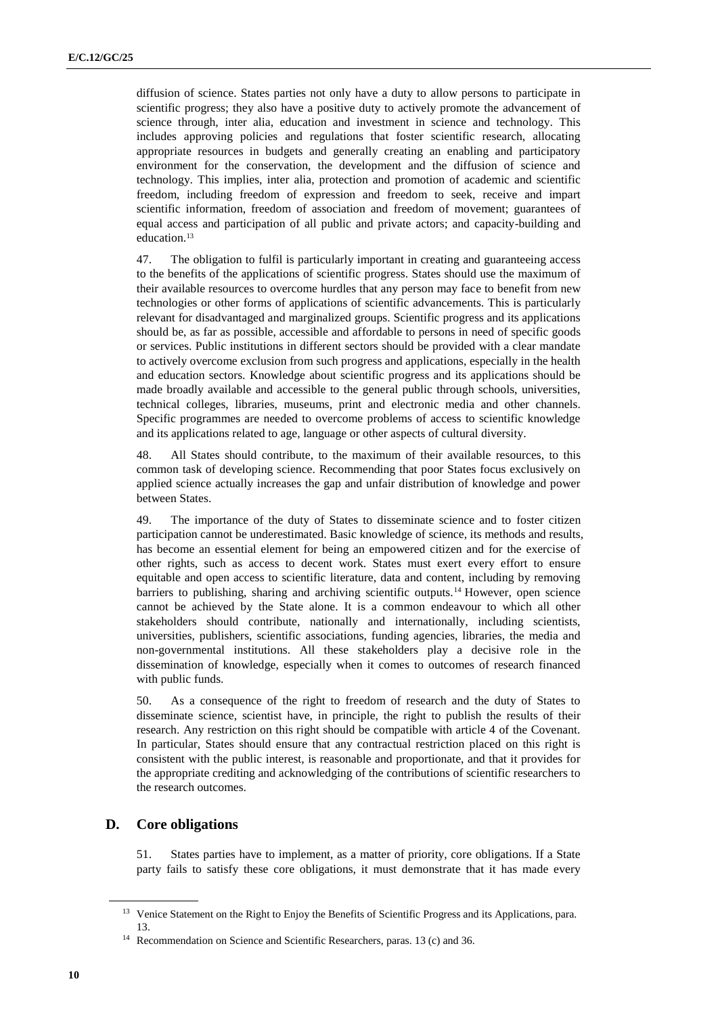diffusion of science. States parties not only have a duty to allow persons to participate in scientific progress; they also have a positive duty to actively promote the advancement of science through, inter alia, education and investment in science and technology. This includes approving policies and regulations that foster scientific research, allocating appropriate resources in budgets and generally creating an enabling and participatory environment for the conservation, the development and the diffusion of science and technology. This implies, inter alia, protection and promotion of academic and scientific freedom, including freedom of expression and freedom to seek, receive and impart scientific information, freedom of association and freedom of movement; guarantees of equal access and participation of all public and private actors; and capacity-building and education. 13

47. The obligation to fulfil is particularly important in creating and guaranteeing access to the benefits of the applications of scientific progress. States should use the maximum of their available resources to overcome hurdles that any person may face to benefit from new technologies or other forms of applications of scientific advancements. This is particularly relevant for disadvantaged and marginalized groups. Scientific progress and its applications should be, as far as possible, accessible and affordable to persons in need of specific goods or services. Public institutions in different sectors should be provided with a clear mandate to actively overcome exclusion from such progress and applications, especially in the health and education sectors. Knowledge about scientific progress and its applications should be made broadly available and accessible to the general public through schools, universities, technical colleges, libraries, museums, print and electronic media and other channels. Specific programmes are needed to overcome problems of access to scientific knowledge and its applications related to age, language or other aspects of cultural diversity.

48. All States should contribute, to the maximum of their available resources, to this common task of developing science. Recommending that poor States focus exclusively on applied science actually increases the gap and unfair distribution of knowledge and power between States.

49. The importance of the duty of States to disseminate science and to foster citizen participation cannot be underestimated. Basic knowledge of science, its methods and results, has become an essential element for being an empowered citizen and for the exercise of other rights, such as access to decent work. States must exert every effort to ensure equitable and open access to scientific literature, data and content, including by removing barriers to publishing, sharing and archiving scientific outputs.<sup>14</sup> However, open science cannot be achieved by the State alone. It is a common endeavour to which all other stakeholders should contribute, nationally and internationally, including scientists, universities, publishers, scientific associations, funding agencies, libraries, the media and non-governmental institutions. All these stakeholders play a decisive role in the dissemination of knowledge, especially when it comes to outcomes of research financed with public funds.

50. As a consequence of the right to freedom of research and the duty of States to disseminate science, scientist have, in principle, the right to publish the results of their research. Any restriction on this right should be compatible with article 4 of the Covenant. In particular, States should ensure that any contractual restriction placed on this right is consistent with the public interest, is reasonable and proportionate, and that it provides for the appropriate crediting and acknowledging of the contributions of scientific researchers to the research outcomes.

# **D. Core obligations**

51. States parties have to implement, as a matter of priority, core obligations. If a State party fails to satisfy these core obligations, it must demonstrate that it has made every

<sup>&</sup>lt;sup>13</sup> Venice Statement on the Right to Enjoy the Benefits of Scientific Progress and its Applications, para. 13.

<sup>&</sup>lt;sup>14</sup> Recommendation on Science and Scientific Researchers, paras. 13 (c) and 36.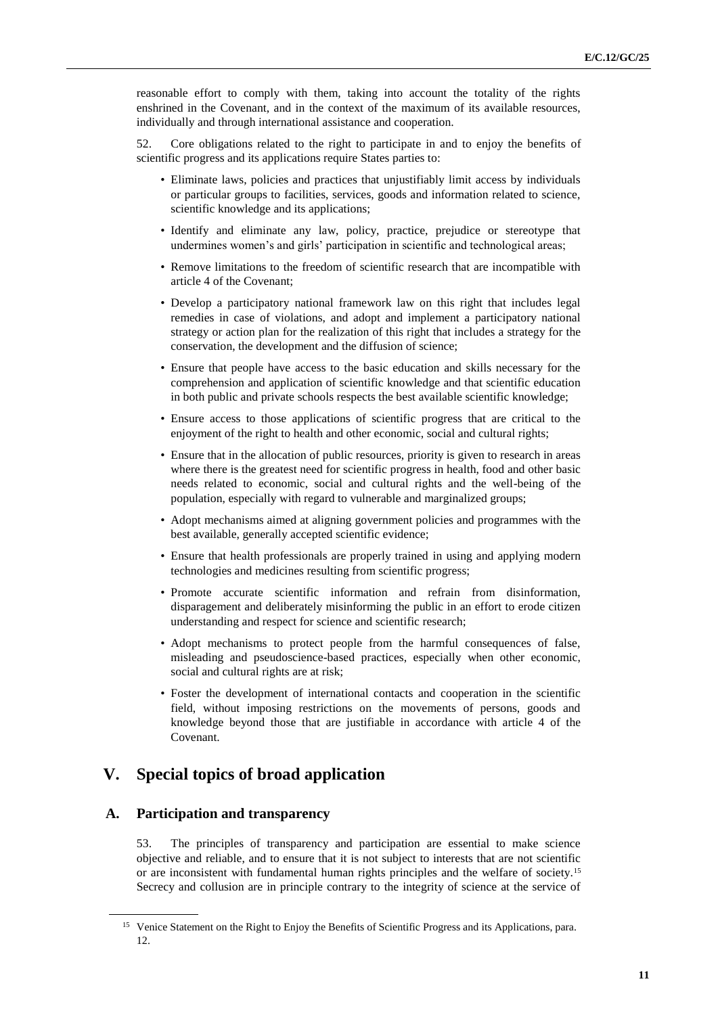reasonable effort to comply with them, taking into account the totality of the rights enshrined in the Covenant, and in the context of the maximum of its available resources, individually and through international assistance and cooperation.

52. Core obligations related to the right to participate in and to enjoy the benefits of scientific progress and its applications require States parties to:

- Eliminate laws, policies and practices that unjustifiably limit access by individuals or particular groups to facilities, services, goods and information related to science, scientific knowledge and its applications;
- Identify and eliminate any law, policy, practice, prejudice or stereotype that undermines women's and girls' participation in scientific and technological areas;
- Remove limitations to the freedom of scientific research that are incompatible with article 4 of the Covenant;
- Develop a participatory national framework law on this right that includes legal remedies in case of violations, and adopt and implement a participatory national strategy or action plan for the realization of this right that includes a strategy for the conservation, the development and the diffusion of science;
- Ensure that people have access to the basic education and skills necessary for the comprehension and application of scientific knowledge and that scientific education in both public and private schools respects the best available scientific knowledge;
- Ensure access to those applications of scientific progress that are critical to the enjoyment of the right to health and other economic, social and cultural rights;
- Ensure that in the allocation of public resources, priority is given to research in areas where there is the greatest need for scientific progress in health, food and other basic needs related to economic, social and cultural rights and the well-being of the population, especially with regard to vulnerable and marginalized groups;
- Adopt mechanisms aimed at aligning government policies and programmes with the best available, generally accepted scientific evidence;
- Ensure that health professionals are properly trained in using and applying modern technologies and medicines resulting from scientific progress;
- Promote accurate scientific information and refrain from disinformation, disparagement and deliberately misinforming the public in an effort to erode citizen understanding and respect for science and scientific research;
- Adopt mechanisms to protect people from the harmful consequences of false, misleading and pseudoscience-based practices, especially when other economic, social and cultural rights are at risk;
- Foster the development of international contacts and cooperation in the scientific field, without imposing restrictions on the movements of persons, goods and knowledge beyond those that are justifiable in accordance with article 4 of the Covenant.

# **V. Special topics of broad application**

## **A. Participation and transparency**

53. The principles of transparency and participation are essential to make science objective and reliable, and to ensure that it is not subject to interests that are not scientific or are inconsistent with fundamental human rights principles and the welfare of society.<sup>15</sup> Secrecy and collusion are in principle contrary to the integrity of science at the service of

<sup>&</sup>lt;sup>15</sup> Venice Statement on the Right to Enjoy the Benefits of Scientific Progress and its Applications, para. 12.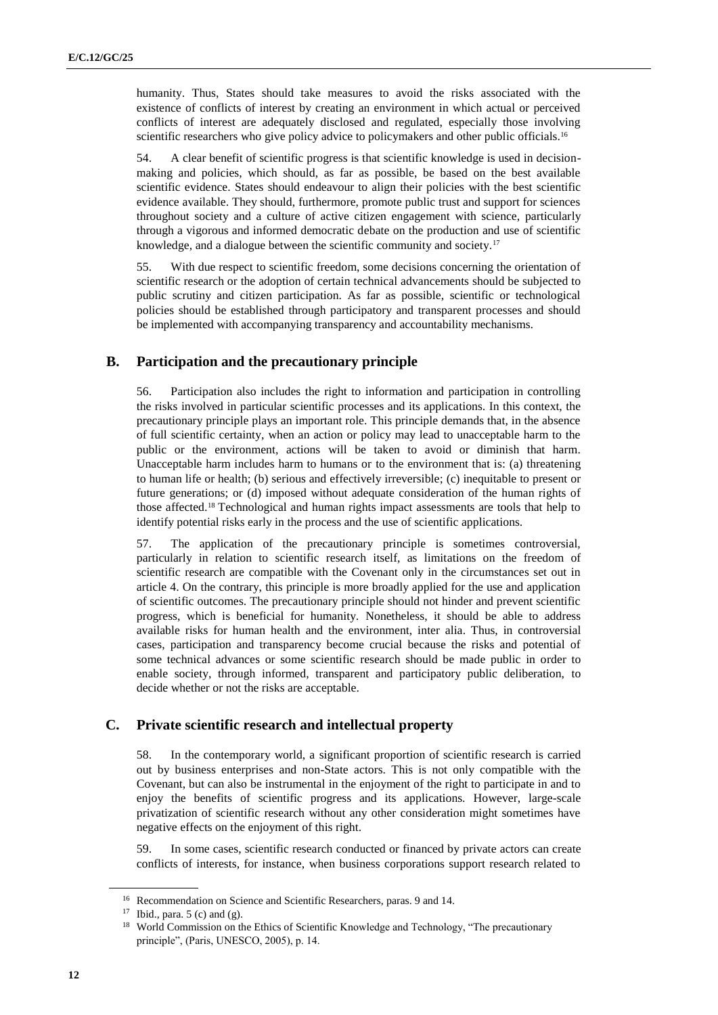humanity. Thus, States should take measures to avoid the risks associated with the existence of conflicts of interest by creating an environment in which actual or perceived conflicts of interest are adequately disclosed and regulated, especially those involving scientific researchers who give policy advice to policymakers and other public officials.<sup>16</sup>

54. A clear benefit of scientific progress is that scientific knowledge is used in decisionmaking and policies, which should, as far as possible, be based on the best available scientific evidence. States should endeavour to align their policies with the best scientific evidence available. They should, furthermore, promote public trust and support for sciences throughout society and a culture of active citizen engagement with science, particularly through a vigorous and informed democratic debate on the production and use of scientific knowledge, and a dialogue between the scientific community and society.<sup>17</sup>

55. With due respect to scientific freedom, some decisions concerning the orientation of scientific research or the adoption of certain technical advancements should be subjected to public scrutiny and citizen participation. As far as possible, scientific or technological policies should be established through participatory and transparent processes and should be implemented with accompanying transparency and accountability mechanisms.

### **B. Participation and the precautionary principle**

56. Participation also includes the right to information and participation in controlling the risks involved in particular scientific processes and its applications. In this context, the precautionary principle plays an important role. This principle demands that, in the absence of full scientific certainty, when an action or policy may lead to unacceptable harm to the public or the environment, actions will be taken to avoid or diminish that harm. Unacceptable harm includes harm to humans or to the environment that is: (a) threatening to human life or health; (b) serious and effectively irreversible; (c) inequitable to present or future generations; or (d) imposed without adequate consideration of the human rights of those affected.<sup>18</sup> Technological and human rights impact assessments are tools that help to identify potential risks early in the process and the use of scientific applications.

57. The application of the precautionary principle is sometimes controversial, particularly in relation to scientific research itself, as limitations on the freedom of scientific research are compatible with the Covenant only in the circumstances set out in article 4. On the contrary, this principle is more broadly applied for the use and application of scientific outcomes. The precautionary principle should not hinder and prevent scientific progress, which is beneficial for humanity. Nonetheless, it should be able to address available risks for human health and the environment, inter alia. Thus, in controversial cases, participation and transparency become crucial because the risks and potential of some technical advances or some scientific research should be made public in order to enable society, through informed, transparent and participatory public deliberation, to decide whether or not the risks are acceptable.

### **C. Private scientific research and intellectual property**

58. In the contemporary world, a significant proportion of scientific research is carried out by business enterprises and non-State actors. This is not only compatible with the Covenant, but can also be instrumental in the enjoyment of the right to participate in and to enjoy the benefits of scientific progress and its applications. However, large-scale privatization of scientific research without any other consideration might sometimes have negative effects on the enjoyment of this right.

59. In some cases, scientific research conducted or financed by private actors can create conflicts of interests, for instance, when business corporations support research related to

<sup>&</sup>lt;sup>16</sup> Recommendation on Science and Scientific Researchers, paras. 9 and 14.

<sup>&</sup>lt;sup>17</sup> Ibid., para.  $5$  (c) and (g).

<sup>&</sup>lt;sup>18</sup> World Commission on the Ethics of Scientific Knowledge and Technology, "The precautionary principle", (Paris, UNESCO, 2005), p. 14.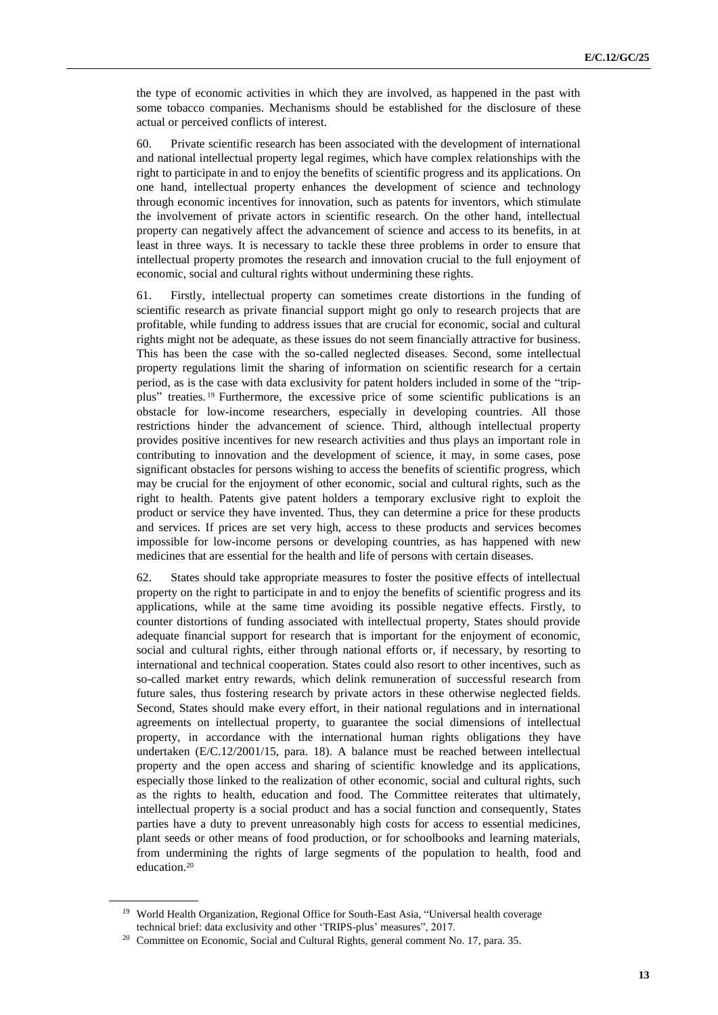the type of economic activities in which they are involved, as happened in the past with some tobacco companies. Mechanisms should be established for the disclosure of these actual or perceived conflicts of interest.

60. Private scientific research has been associated with the development of international and national intellectual property legal regimes, which have complex relationships with the right to participate in and to enjoy the benefits of scientific progress and its applications. On one hand, intellectual property enhances the development of science and technology through economic incentives for innovation, such as patents for inventors, which stimulate the involvement of private actors in scientific research. On the other hand, intellectual property can negatively affect the advancement of science and access to its benefits, in at least in three ways. It is necessary to tackle these three problems in order to ensure that intellectual property promotes the research and innovation crucial to the full enjoyment of economic, social and cultural rights without undermining these rights.

61. Firstly, intellectual property can sometimes create distortions in the funding of scientific research as private financial support might go only to research projects that are profitable, while funding to address issues that are crucial for economic, social and cultural rights might not be adequate, as these issues do not seem financially attractive for business. This has been the case with the so-called neglected diseases. Second, some intellectual property regulations limit the sharing of information on scientific research for a certain period, as is the case with data exclusivity for patent holders included in some of the "tripplus" treaties. <sup>19</sup> Furthermore, the excessive price of some scientific publications is an obstacle for low-income researchers, especially in developing countries. All those restrictions hinder the advancement of science. Third, although intellectual property provides positive incentives for new research activities and thus plays an important role in contributing to innovation and the development of science, it may, in some cases, pose significant obstacles for persons wishing to access the benefits of scientific progress, which may be crucial for the enjoyment of other economic, social and cultural rights, such as the right to health. Patents give patent holders a temporary exclusive right to exploit the product or service they have invented. Thus, they can determine a price for these products and services. If prices are set very high, access to these products and services becomes impossible for low-income persons or developing countries, as has happened with new medicines that are essential for the health and life of persons with certain diseases.

62. States should take appropriate measures to foster the positive effects of intellectual property on the right to participate in and to enjoy the benefits of scientific progress and its applications, while at the same time avoiding its possible negative effects. Firstly, to counter distortions of funding associated with intellectual property, States should provide adequate financial support for research that is important for the enjoyment of economic, social and cultural rights, either through national efforts or, if necessary, by resorting to international and technical cooperation. States could also resort to other incentives, such as so-called market entry rewards, which delink remuneration of successful research from future sales, thus fostering research by private actors in these otherwise neglected fields. Second, States should make every effort, in their national regulations and in international agreements on intellectual property, to guarantee the social dimensions of intellectual property, in accordance with the international human rights obligations they have undertaken (E/C.12/2001/15, para. 18). A balance must be reached between intellectual property and the open access and sharing of scientific knowledge and its applications, especially those linked to the realization of other economic, social and cultural rights, such as the rights to health, education and food. The Committee reiterates that ultimately, intellectual property is a social product and has a social function and consequently, States parties have a duty to prevent unreasonably high costs for access to essential medicines, plant seeds or other means of food production, or for schoolbooks and learning materials, from undermining the rights of large segments of the population to health, food and education.<sup>20</sup>

<sup>&</sup>lt;sup>19</sup> World Health Organization, Regional Office for South-East Asia, "Universal health coverage technical brief: data exclusivity and other 'TRIPS-plus' measures", 2017.

<sup>&</sup>lt;sup>20</sup> Committee on Economic, Social and Cultural Rights, general comment No. 17, para. 35.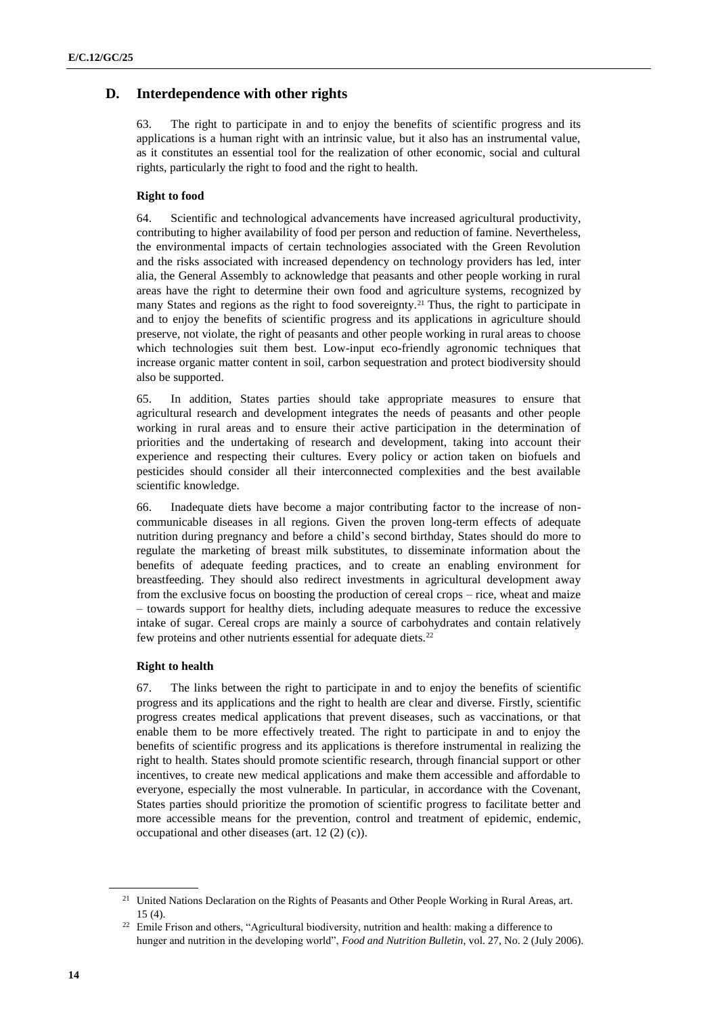# **D. Interdependence with other rights**

63. The right to participate in and to enjoy the benefits of scientific progress and its applications is a human right with an intrinsic value, but it also has an instrumental value, as it constitutes an essential tool for the realization of other economic, social and cultural rights, particularly the right to food and the right to health.

#### **Right to food**

64. Scientific and technological advancements have increased agricultural productivity, contributing to higher availability of [food per person](https://ourworldindata.org/food-per-person) and reduction of famine. Nevertheless, the environmental impacts of certain technologies associated with the Green Revolution and the risks associated with increased dependency on technology providers has led, inter alia, the General Assembly to acknowledge that peasants and other people working in rural areas have the right to determine their own food and agriculture systems, recognized by many States and regions as the right to food sovereignty.<sup>21</sup> Thus, the right to participate in and to enjoy the benefits of scientific progress and its applications in agriculture should preserve, not violate, the right of peasants and other people working in rural areas to choose which technologies suit them best. Low-input eco-friendly agronomic techniques that increase organic matter content in soil, carbon sequestration and protect biodiversity should also be supported.

65. In addition, States parties should take appropriate measures to ensure that agricultural research and development integrates the needs of peasants and other people working in rural areas and to ensure their active participation in the determination of priorities and the undertaking of research and development, taking into account their experience and respecting their cultures. Every policy or action taken on biofuels and pesticides should consider all their interconnected complexities and the best available scientific knowledge.

66. Inadequate diets have become a major contributing factor to the increase of noncommunicable diseases in all regions. Given the proven long-term effects of adequate nutrition during pregnancy and before a child's second birthday, States should do more to regulate the marketing of breast milk substitutes, to disseminate information about the benefits of adequate feeding practices, and to create an enabling environment for breastfeeding. They should also redirect investments in agricultural development away from the exclusive focus on boosting the production of cereal crops – rice, wheat and maize – towards support for healthy diets, including adequate measures to reduce the excessive intake of sugar. Cereal crops are mainly a source of carbohydrates and contain relatively few proteins and other nutrients essential for adequate diets.<sup>22</sup>

#### **Right to health**

67. The links between the right to participate in and to enjoy the benefits of scientific progress and its applications and the right to health are clear and diverse. Firstly, scientific progress creates medical applications that prevent diseases, such as vaccinations, or that enable them to be more effectively treated. The right to participate in and to enjoy the benefits of scientific progress and its applications is therefore instrumental in realizing the right to health. States should promote scientific research, through financial support or other incentives, to create new medical applications and make them accessible and affordable to everyone, especially the most vulnerable. In particular, in accordance with the Covenant, States parties should prioritize the promotion of scientific progress to facilitate better and more accessible means for the prevention, control and treatment of epidemic, endemic, occupational and other diseases (art. 12 (2) (c)).

<sup>&</sup>lt;sup>21</sup> United Nations Declaration on the Rights of Peasants and Other People Working in Rural Areas, art.  $15(4)$ .

<sup>&</sup>lt;sup>22</sup> Emile Frison and others, "Agricultural biodiversity, nutrition and health: making a difference to hunger and nutrition in the developing world", *Food and Nutrition Bulletin*, vol. 27, No. 2 (July 2006).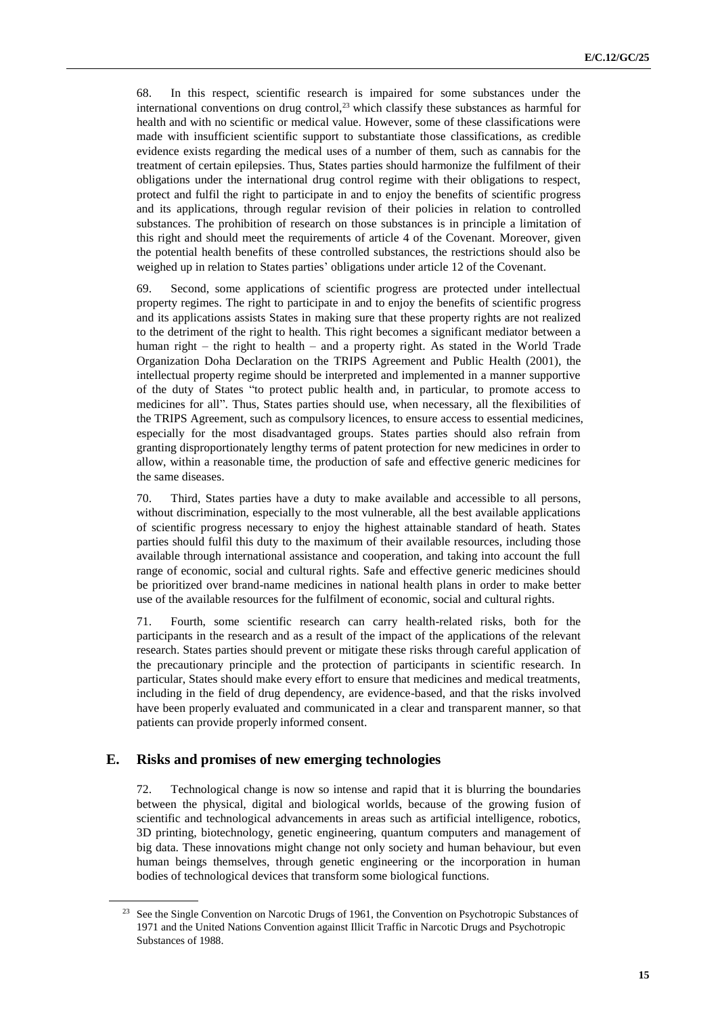68. In this respect, scientific research is impaired for some substances under the international conventions on drug control,<sup>23</sup> which classify these substances as harmful for health and with no scientific or medical value. However, some of these classifications were made with insufficient scientific support to substantiate those classifications, as credible evidence exists regarding the medical uses of a number of them, such as cannabis for the treatment of certain epilepsies. Thus, States parties should harmonize the fulfilment of their obligations under the international drug control regime with their obligations to respect, protect and fulfil the right to participate in and to enjoy the benefits of scientific progress and its applications, through regular revision of their policies in relation to controlled substances. The prohibition of research on those substances is in principle a limitation of this right and should meet the requirements of article 4 of the Covenant. Moreover, given the potential health benefits of these controlled substances, the restrictions should also be weighed up in relation to States parties' obligations under article 12 of the Covenant.

69. Second, some applications of scientific progress are protected under intellectual property regimes. The right to participate in and to enjoy the benefits of scientific progress and its applications assists States in making sure that these property rights are not realized to the detriment of the right to health. This right becomes a significant mediator between a human right – the right to health – and a property right. As stated in the World Trade Organization Doha Declaration on the TRIPS Agreement and Public Health (2001), the intellectual property regime should be interpreted and implemented in a manner supportive of the duty of States "to protect public health and, in particular, to promote access to medicines for all". Thus, States parties should use, when necessary, all the flexibilities of the TRIPS Agreement, such as compulsory licences, to ensure access to essential medicines, especially for the most disadvantaged groups. States parties should also refrain from granting disproportionately lengthy terms of patent protection for new medicines in order to allow, within a reasonable time, the production of safe and effective generic medicines for the same diseases.

70. Third, States parties have a duty to make available and accessible to all persons, without discrimination, especially to the most vulnerable, all the best available applications of scientific progress necessary to enjoy the highest attainable standard of heath. States parties should fulfil this duty to the maximum of their available resources, including those available through international assistance and cooperation, and taking into account the full range of economic, social and cultural rights. Safe and effective generic medicines should be prioritized over brand-name medicines in national health plans in order to make better use of the available resources for the fulfilment of economic, social and cultural rights.

71. Fourth, some scientific research can carry health-related risks, both for the participants in the research and as a result of the impact of the applications of the relevant research. States parties should prevent or mitigate these risks through careful application of the precautionary principle and the protection of participants in scientific research. In particular, States should make every effort to ensure that medicines and medical treatments, including in the field of drug dependency, are evidence-based, and that the risks involved have been properly evaluated and communicated in a clear and transparent manner, so that patients can provide properly informed consent.

### **E. Risks and promises of new emerging technologies**

72. Technological change is now so intense and rapid that it is blurring the boundaries between the physical, digital and biological worlds, because of the growing fusion of scientific and technological advancements in areas such as artificial intelligence, robotics, 3D printing, biotechnology, genetic engineering, quantum computers and management of big data. These innovations might change not only society and human behaviour, but even human beings themselves, through genetic engineering or the incorporation in human bodies of technological devices that transform some biological functions.

<sup>&</sup>lt;sup>23</sup> See the Single Convention on Narcotic Drugs of 1961, the Convention on Psychotropic Substances of 1971 and the United Nations Convention against Illicit Traffic in Narcotic Drugs and Psychotropic Substances of 1988.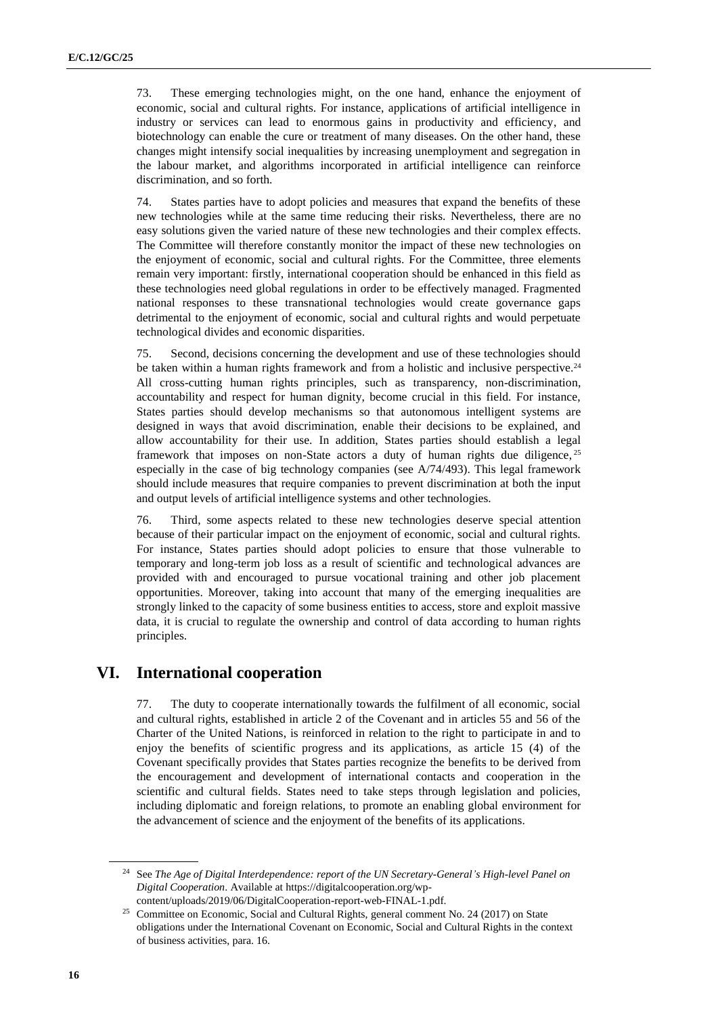73. These emerging technologies might, on the one hand, enhance the enjoyment of economic, social and cultural rights. For instance, applications of artificial intelligence in industry or services can lead to enormous gains in productivity and efficiency, and biotechnology can enable the cure or treatment of many diseases. On the other hand, these changes might intensify social inequalities by increasing unemployment and segregation in the labour market, and algorithms incorporated in artificial intelligence can reinforce discrimination, and so forth.

74. States parties have to adopt policies and measures that expand the benefits of these new technologies while at the same time reducing their risks. Nevertheless, there are no easy solutions given the varied nature of these new technologies and their complex effects. The Committee will therefore constantly monitor the impact of these new technologies on the enjoyment of economic, social and cultural rights. For the Committee, three elements remain very important: firstly, international cooperation should be enhanced in this field as these technologies need global regulations in order to be effectively managed. Fragmented national responses to these transnational technologies would create governance gaps detrimental to the enjoyment of economic, social and cultural rights and would perpetuate technological divides and economic disparities.

75. Second, decisions concerning the development and use of these technologies should be taken within a human rights framework and from a holistic and inclusive perspective.<sup>24</sup> All cross-cutting human rights principles, such as transparency, non-discrimination, accountability and respect for human dignity, become crucial in this field. For instance, States parties should develop mechanisms so that autonomous intelligent systems are designed in ways that avoid discrimination, enable their decisions to be explained, and allow accountability for their use. In addition, States parties should establish a legal framework that imposes on non-State actors a duty of human rights due diligence,<sup>25</sup> especially in the case of big technology companies (see A/74/493). This legal framework should include measures that require companies to prevent discrimination at both the input and output levels of artificial intelligence systems and other technologies.

76. Third, some aspects related to these new technologies deserve special attention because of their particular impact on the enjoyment of economic, social and cultural rights. For instance, States parties should adopt policies to ensure that those vulnerable to temporary and long-term job loss as a result of scientific and technological advances are provided with and encouraged to pursue vocational training and other job placement opportunities. Moreover, taking into account that many of the emerging inequalities are strongly linked to the capacity of some business entities to access, store and exploit massive data, it is crucial to regulate the ownership and control of data according to human rights principles.

# **VI. International cooperation**

77. The duty to cooperate internationally towards the fulfilment of all economic, social and cultural rights, established in article 2 of the Covenant and in articles 55 and 56 of the Charter of the United Nations, is reinforced in relation to the right to participate in and to enjoy the benefits of scientific progress and its applications, as article 15 (4) of the Covenant specifically provides that States parties recognize the benefits to be derived from the encouragement and development of international contacts and cooperation in the scientific and cultural fields. States need to take steps through legislation and policies, including diplomatic and foreign relations, to promote an enabling global environment for the advancement of science and the enjoyment of the benefits of its applications.

<sup>24</sup> See *The Age of Digital Interdependence: report of the UN Secretary-General's High-level Panel on Digital Cooperation*. Available at [https://digitalcooperation.org/wp](https://digitalcooperation.org/wp-content/uploads/2019/06/DigitalCooperation-report-web-FINAL-1.pdf)[content/uploads/2019/06/DigitalCooperation-report-web-FINAL-1.pdf.](https://digitalcooperation.org/wp-content/uploads/2019/06/DigitalCooperation-report-web-FINAL-1.pdf)

<sup>&</sup>lt;sup>25</sup> Committee on Economic, Social and Cultural Rights, general comment No. 24 (2017) on State obligations under the International Covenant on Economic, Social and Cultural Rights in the context of business activities, para. 16.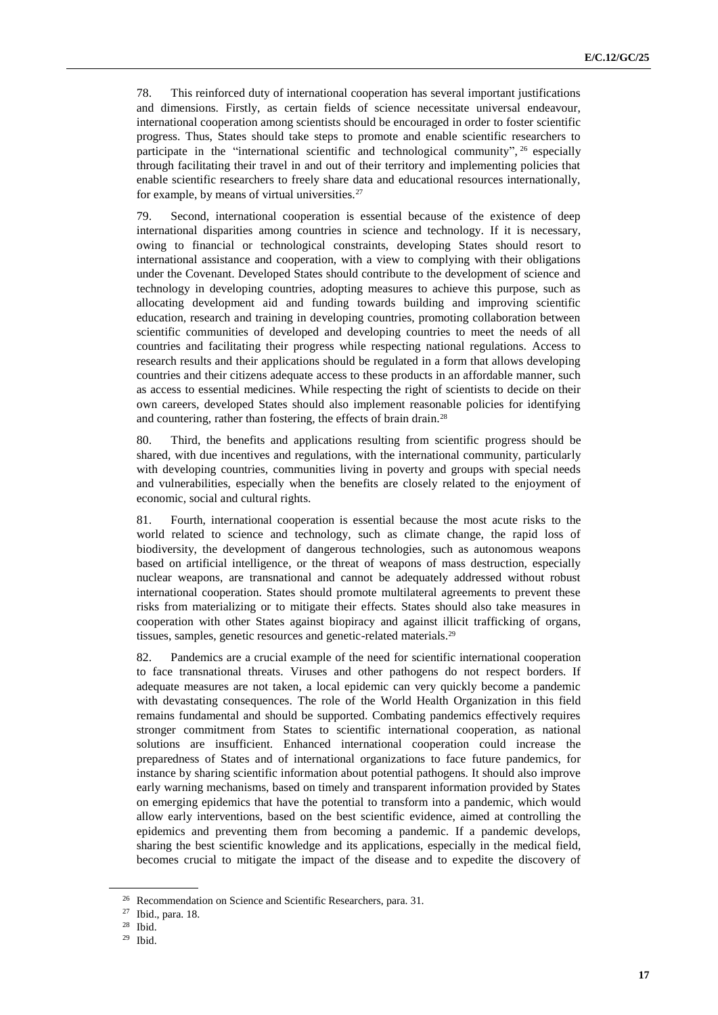78. This reinforced duty of international cooperation has several important justifications and dimensions. Firstly, as certain fields of science necessitate universal endeavour, international cooperation among scientists should be encouraged in order to foster scientific progress. Thus, States should take steps to promote and enable scientific researchers to participate in the "international scientific and technological community", <sup>26</sup> especially through facilitating their travel in and out of their territory and implementing policies that enable scientific researchers to freely share data and educational resources internationally, for example, by means of virtual universities.<sup>27</sup>

79. Second, international cooperation is essential because of the existence of deep international disparities among countries in science and technology. If it is necessary, owing to financial or technological constraints, developing States should resort to international assistance and cooperation, with a view to complying with their obligations under the Covenant. Developed States should contribute to the development of science and technology in developing countries, adopting measures to achieve this purpose, such as allocating development aid and funding towards building and improving scientific education, research and training in developing countries, promoting collaboration between scientific communities of developed and developing countries to meet the needs of all countries and facilitating their progress while respecting national regulations. Access to research results and their applications should be regulated in a form that allows developing countries and their citizens adequate access to these products in an affordable manner, such as access to essential medicines. While respecting the right of scientists to decide on their own careers, developed States should also implement reasonable policies for identifying and countering, rather than fostering, the effects of brain drain.<sup>28</sup>

80. Third, the benefits and applications resulting from scientific progress should be shared, with due incentives and regulations, with the international community, particularly with developing countries, communities living in poverty and groups with special needs and vulnerabilities, especially when the benefits are closely related to the enjoyment of economic, social and cultural rights.

81. Fourth, international cooperation is essential because the most acute risks to the world related to science and technology, such as climate change, the rapid loss of biodiversity, the development of dangerous technologies, such as autonomous weapons based on artificial intelligence, or the threat of weapons of mass destruction, especially nuclear weapons, are transnational and cannot be adequately addressed without robust international cooperation. States should promote multilateral agreements to prevent these risks from materializing or to mitigate their effects. States should also take measures in cooperation with other States against biopiracy and against illicit trafficking of organs, tissues, samples, genetic resources and genetic-related materials.<sup>29</sup>

82. Pandemics are a crucial example of the need for scientific international cooperation to face transnational threats. Viruses and other pathogens do not respect borders. If adequate measures are not taken, a local epidemic can very quickly become a pandemic with devastating consequences. The role of the World Health Organization in this field remains fundamental and should be supported. Combating pandemics effectively requires stronger commitment from States to scientific international cooperation, as national solutions are insufficient. Enhanced international cooperation could increase the preparedness of States and of international organizations to face future pandemics, for instance by sharing scientific information about potential pathogens. It should also improve early warning mechanisms, based on timely and transparent information provided by States on emerging epidemics that have the potential to transform into a pandemic, which would allow early interventions, based on the best scientific evidence, aimed at controlling the epidemics and preventing them from becoming a pandemic. If a pandemic develops, sharing the best scientific knowledge and its applications, especially in the medical field, becomes crucial to mitigate the impact of the disease and to expedite the discovery of

<sup>&</sup>lt;sup>26</sup> Recommendation on Science and Scientific Researchers, para. 31.<br><sup>27</sup> Ibid. para. <sup>18</sup>

Ibid., para. 18.

<sup>28</sup> Ibid.

<sup>29</sup> Ibid.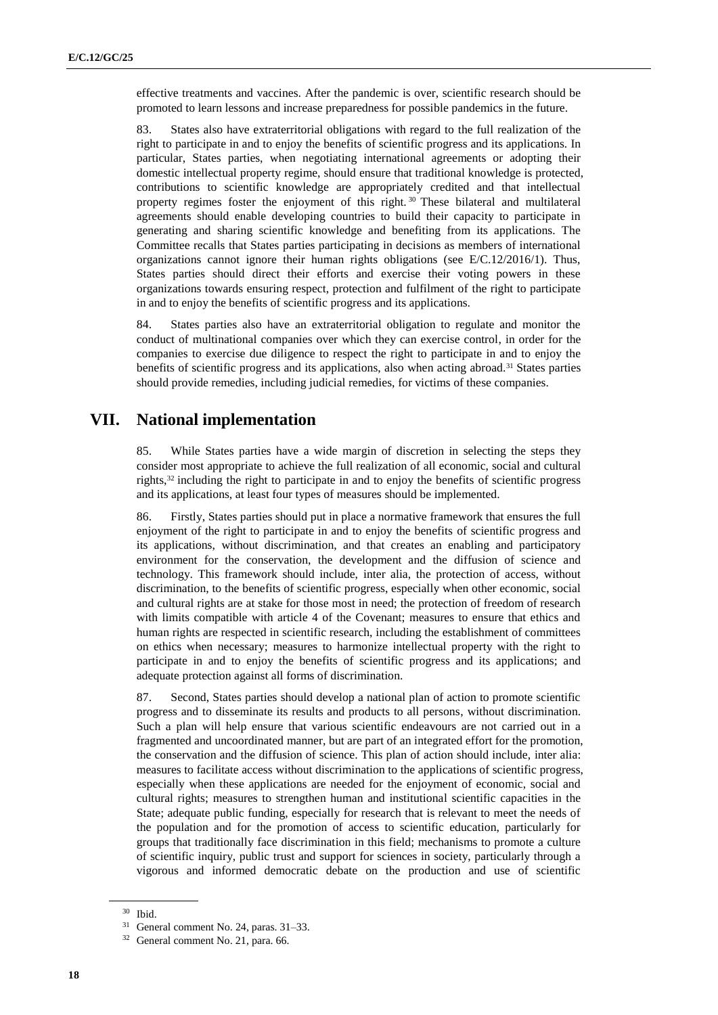effective treatments and vaccines. After the pandemic is over, scientific research should be promoted to learn lessons and increase preparedness for possible pandemics in the future.

83. States also have extraterritorial obligations with regard to the full realization of the right to participate in and to enjoy the benefits of scientific progress and its applications. In particular, States parties, when negotiating international agreements or adopting their domestic intellectual property regime, should ensure that traditional knowledge is protected, contributions to scientific knowledge are appropriately credited and that intellectual property regimes foster the enjoyment of this right.<sup>30</sup> These bilateral and multilateral agreements should enable developing countries to build their capacity to participate in generating and sharing scientific knowledge and benefiting from its applications. The Committee recalls that States parties participating in decisions as members of international organizations cannot ignore their human rights obligations (see E/C.12/2016/1). Thus, States parties should direct their efforts and exercise their voting powers in these organizations towards ensuring respect, protection and fulfilment of the right to participate in and to enjoy the benefits of scientific progress and its applications.

84. States parties also have an extraterritorial obligation to regulate and monitor the conduct of multinational companies over which they can exercise control, in order for the companies to exercise due diligence to respect the right to participate in and to enjoy the benefits of scientific progress and its applications, also when acting abroad.<sup>31</sup> States parties should provide remedies, including judicial remedies, for victims of these companies.

# **VII. National implementation**

85. While States parties have a wide margin of discretion in selecting the steps they consider most appropriate to achieve the full realization of all economic, social and cultural rights,<sup>32</sup> including the right to participate in and to enjoy the benefits of scientific progress and its applications, at least four types of measures should be implemented.

86. Firstly, States parties should put in place a normative framework that ensures the full enjoyment of the right to participate in and to enjoy the benefits of scientific progress and its applications, without discrimination, and that creates an enabling and participatory environment for the conservation, the development and the diffusion of science and technology. This framework should include, inter alia, the protection of access, without discrimination, to the benefits of scientific progress, especially when other economic, social and cultural rights are at stake for those most in need; the protection of freedom of research with limits compatible with article 4 of the Covenant; measures to ensure that ethics and human rights are respected in scientific research, including the establishment of committees on ethics when necessary; measures to harmonize intellectual property with the right to participate in and to enjoy the benefits of scientific progress and its applications; and adequate protection against all forms of discrimination.

87. Second, States parties should develop a national plan of action to promote scientific progress and to disseminate its results and products to all persons, without discrimination. Such a plan will help ensure that various scientific endeavours are not carried out in a fragmented and uncoordinated manner, but are part of an integrated effort for the promotion, the conservation and the diffusion of science. This plan of action should include, inter alia: measures to facilitate access without discrimination to the applications of scientific progress, especially when these applications are needed for the enjoyment of economic, social and cultural rights; measures to strengthen human and institutional scientific capacities in the State; adequate public funding, especially for research that is relevant to meet the needs of the population and for the promotion of access to scientific education, particularly for groups that traditionally face discrimination in this field; mechanisms to promote a culture of scientific inquiry, public trust and support for sciences in society, particularly through a vigorous and informed democratic debate on the production and use of scientific

<sup>30</sup> Ibid.

<sup>31</sup> General comment No. 24, paras. 31–33.

<sup>32</sup> General comment No. 21, para. 66.